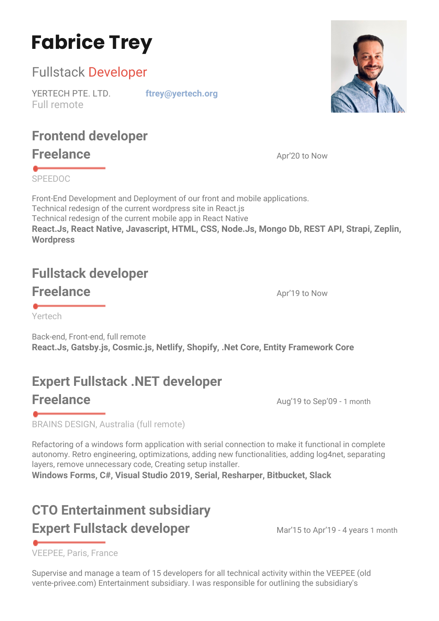# **Fabrice Trey**

#### Fullstack Developer

YERTECH PTE. LTD. **[ftrey@y](mailto:fabrice.trey@hotmail.fr)ertech.org** Full remote

## **Frontend developer**

**Freelance** Apr'20 to Now

SPEEDOC

Front-End Development and Deployment of our front and mobile applications. Technical redesign of the current wordpress site in React.js Technical redesign of the current mobile app in React Native **React.Js, React Native, Javascript, HTML, CSS, Node.Js, Mongo Db, REST API, Strapi, Zeplin, Wordpress**

## **Fullstack developer**

**Freelance** Apr'19 to Now

Yertech

Back-end, Front-end, full remote **React.Js, Gatsby.js, Cosmic.js, Netlify, Shopify, .Net Core, Entity Framework Core**

## **Expert Fullstack .NET developer**

**Freelance** Aug'19 to Sep'09 - 1 month

BRAINS DESIGN, Australia (full remote)

Refactoring of a windows form application with serial connection to make it functional in complete autonomy. Retro engineering, optimizations, adding new functionalities, adding log4net, separating layers, remove unnecessary code, Creating setup installer.

**Windows Forms, C#, Visual Studio 2019, Serial, Resharper, Bitbucket, Slack**

### **CTO Entertainment subsidiary Expert Fullstack developer** Mar'15 to Apr'19 - 4 years 1 month

VEEPEE, Paris, France

Supervise and manage a team of 15 developers for all technical activity within the VEEPEE (old vente-privee.com) Entertainment subsidiary. I was responsible for outlining the subsidiary's

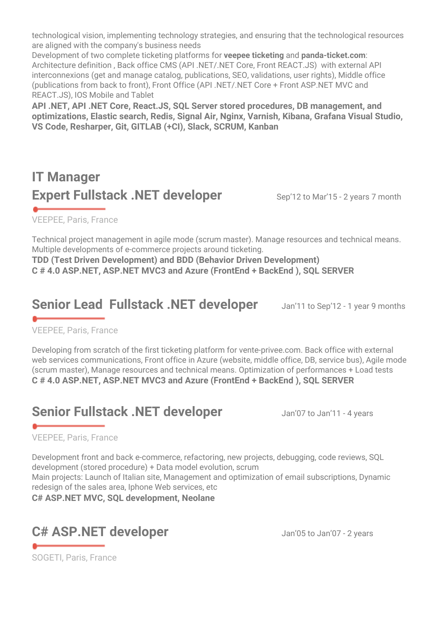technological vision, implementing technology strategies, and ensuring that the technological resources are aligned with the company's business needs

Development of two complete ticketing platforms for **veepee ticketing** and **panda-ticket.com**: Architecture definition , Back office CMS (API .NET/.NET Core, Front REACT.JS) with external API interconnexions (get and manage catalog, publications, SEO, validations, user rights), Middle office (publications from back to front), Front Office (API .NET/.NET Core + Front ASP.NET MVC and REACT.JS), IOS Mobile and Tablet

**API .NET, API .NET Core, React.JS, SQL Server stored procedures, DB management, and optimizations, Elastic search, Redis, Signal Air, Nginx, Varnish, Kibana, Grafana Visual Studio, VS Code, Resharper, Git, GITLAB (+CI), Slack, SCRUM, Kanban**

#### **IT Manager Expert Fullstack .NET developer** Sep'12 to Mar'15 - 2 years 7 month

VEEPEE, Paris, France

Technical project management in agile mode (scrum master). Manage resources and technical means. Multiple developments of e-commerce projects around ticketing.

**TDD (Test Driven Development) and BDD (Behavior Driven Development) C # 4.0 ASP.NET, ASP.NET MVC3 and Azure (FrontEnd + BackEnd ), SQL SERVER**

#### **Senior Lead Fullstack .NET developer** Jan'11 to Sep'12 - 1 year 9 months

VEEPEE, Paris, France

Developing from scratch of the first ticketing platform for [vente-privee.com](https://veepee.com/). Back office with external web services communications, Front office in Azure (website, middle office, DB, service bus), Agile mode (scrum master), Manage resources and technical means. Optimization of performances + Load tests **C # 4.0 ASP.NET, ASP.NET MVC3 and Azure (FrontEnd + BackEnd ), SQL SERVER**

#### **Senior Fullstack .NET developer** Jan'07 to Jan'11 - 4 years

#### VEEPEE, Paris, France

Development front and back e-commerce, refactoring, new projects, debugging, code reviews, SQL development (stored procedure) + Data model evolution, scrum

Main projects: Launch of Italian site, Management and optimization of email subscriptions, Dynamic redesign of the sales area, Iphone Web services, etc

**C# ASP.NET MVC, SQL development, Neolane**

#### C# ASP.NET developer Jan'05 to Jan'07 - 2 years

SOGETI, Paris, France